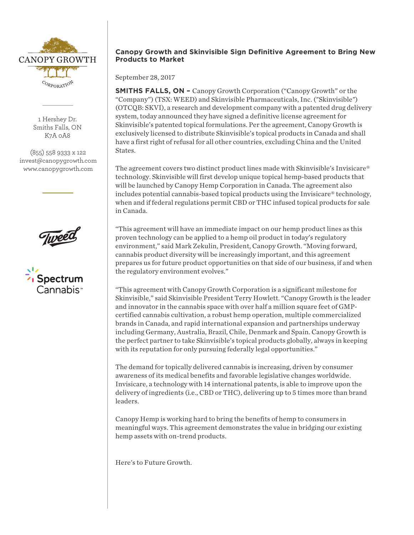

1 Hershey Dr. Smiths Falls, ON K7A 0A8

(855) 558 9333 x 122 invest@canopygrowth.com www.canopygrowth.com





## **Canopy Growth and Skinvisible Sign Definitive Agreement to Bring New Products to Market**

September 28, 2017

**SMITHS FALLS, ON –** Canopy Growth Corporation ("Canopy Growth" or the "Company") (TSX: WEED) and Skinvisible Pharmaceuticals, Inc. ("Skinvisible") (OTCQB: SKVI), a research and development company with a patented drug delivery system, today announced they have signed a definitive license agreement for Skinvisible's patented topical formulations. Per the agreement, Canopy Growth is exclusively licensed to distribute Skinvisible's topical products in Canada and shall have a first right of refusal for all other countries, excluding China and the United States.

The agreement covers two distinct product lines made with Skinvisible's Invisicare® technology. Skinvisible will first develop unique topical hemp-based products that will be launched by Canopy Hemp Corporation in Canada. The agreement also includes potential cannabis-based topical products using the Invisicare® technology, when and if federal regulations permit CBD or THC infused topical products for sale in Canada.

"This agreement will have an immediate impact on our hemp product lines as this proven technology can be applied to a hemp oil product in today's regulatory environment," said Mark Zekulin, President, Canopy Growth. "Moving forward, cannabis product diversity will be increasingly important, and this agreement prepares us for future product opportunities on that side of our business, if and when the regulatory environment evolves."

"This agreement with Canopy Growth Corporation is a significant milestone for Skinvisible," said Skinvisible President Terry Howlett. "Canopy Growth is the leader and innovator in the cannabis space with over half a million square feet of GMPcertified cannabis cultivation, a robust hemp operation, multiple commercialized brands in Canada, and rapid international expansion and partnerships underway including Germany, Australia, Brazil, Chile, Denmark and Spain. Canopy Growth is the perfect partner to take Skinvisible's topical products globally, always in keeping with its reputation for only pursuing federally legal opportunities."

The demand for topically delivered cannabis is increasing, driven by consumer awareness of its medical benefits and favorable legislative changes worldwide. Invisicare, a technology with 14 international patents, is able to improve upon the delivery of ingredients (i.e., CBD or THC), delivering up to 5 times more than brand leaders.

Canopy Hemp is working hard to bring the benefits of hemp to consumers in meaningful ways. This agreement demonstrates the value in bridging our existing hemp assets with on-trend products.

Here's to Future Growth.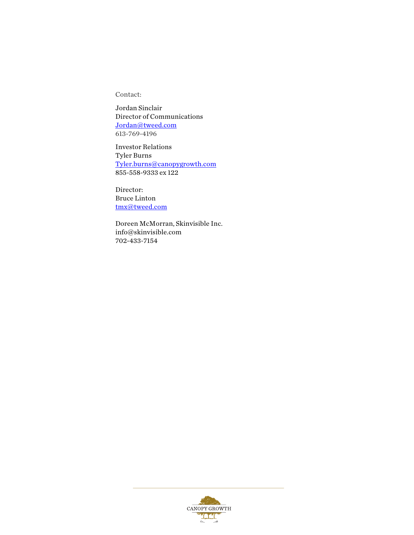Contact:

Jordan Sinclair Director of Communications Jordan@tweed.com 613-769-4196

Investor Relations Tyler Burns Tyler.burns@canopygrowth.com 855-558-9333 ex 122

Director: Bruce Linton tmx@tweed.com

Doreen McMorran, Skinvisible Inc. info@skinvisible.com 702-433-7154